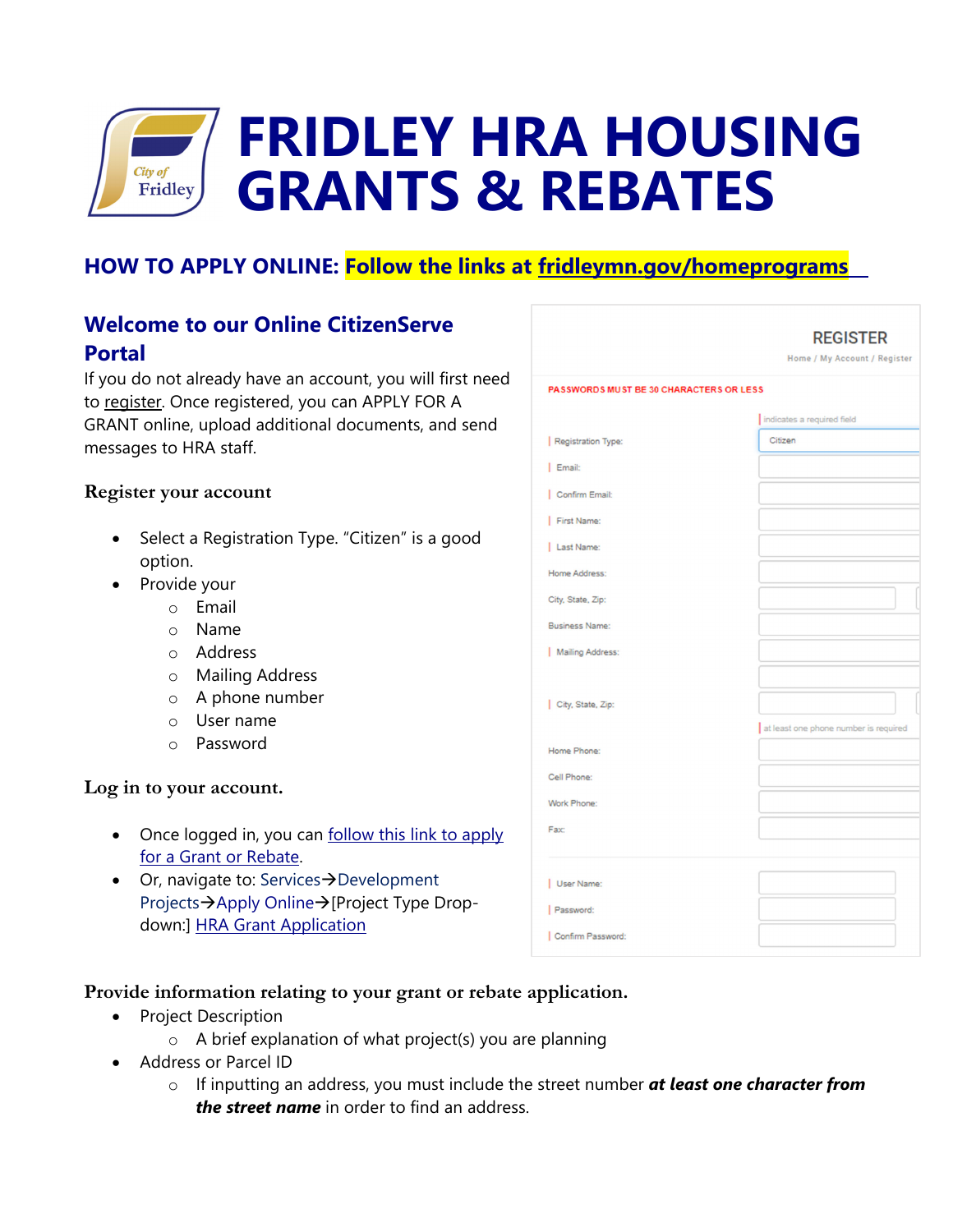## **FRIDLEY HRA HOUSING**  City of **GRANTS & REBATES**  Fridley

## **HOW TO APPLY ONLINE: Follow the links at fridleymn.gov/homeprograms**

### **Welcome to our Online CitizenServe Portal**

If you do not already have an account, you will first need to register. Once registered, you can APPLY FOR A GRANT online, upload additional documents, and send messages to HRA staff.

#### **Register your account**

- Select a Registration Type. "Citizen" is a good option.
- Provide your
	- o Email
		- o Name
		- o Address
		- o Mailing Address
		- o A phone number
		- o User name
		- o Password

#### **Log in to your account.**

- Once logged in, you can follow this link to apply for a Grant or Rebate.
- $\bullet$  Or, navigate to: Services $\rightarrow$ Development Projects->Apply Online->[Project Type Dropdown:] HRA Grant Application

|                                         | <b>REGISTER</b><br>Home / My Account / Register |
|-----------------------------------------|-------------------------------------------------|
| PASSWORDS MUST BE 30 CHARACTERS OR LESS |                                                 |
|                                         | indicates a required field                      |
| Registration Type:                      | Citizen                                         |
| Email:                                  |                                                 |
| Confirm Email:                          |                                                 |
| First Name:                             |                                                 |
| Last Name:                              |                                                 |
| Home Address:                           |                                                 |
| City, State, Zip:                       |                                                 |
| <b>Business Name:</b>                   |                                                 |
| Mailing Address:                        |                                                 |
|                                         |                                                 |
| City, State, Zip:                       |                                                 |
|                                         | at least one phone number is required           |
| Home Phone:                             |                                                 |
| Cell Phone:                             |                                                 |
| Work Phone:                             |                                                 |
| Fax:                                    |                                                 |
|                                         |                                                 |
| User Name:                              |                                                 |
| Password:                               |                                                 |
| Confirm Password:                       |                                                 |

#### **Provide information relating to your grant or rebate application.**

- Project Description
	- $\circ$  A brief explanation of what project(s) you are planning
- Address or Parcel ID
	- o If inputting an address, you must include the street number *at least one character from the street name* in order to find an address.